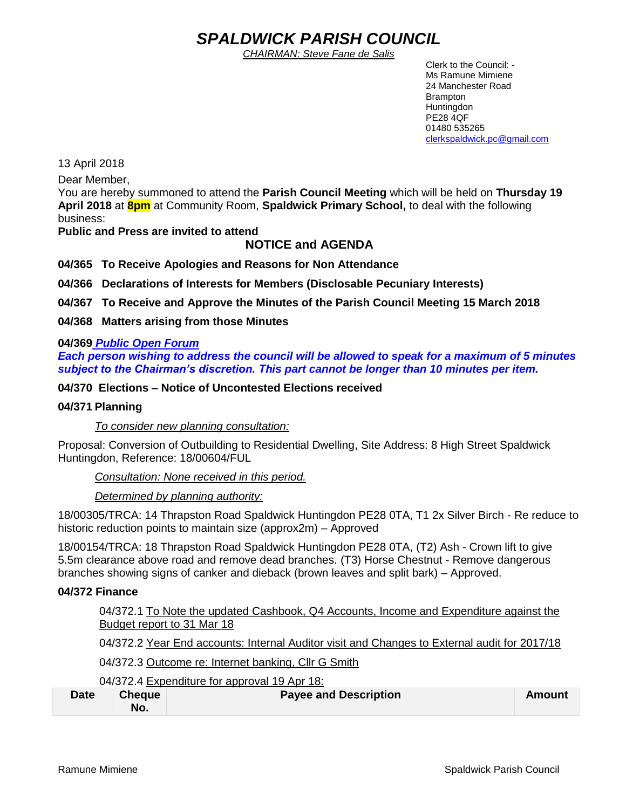# *SPALDWICK PARISH COUNCIL*

*CHAIRMAN: Steve Fane de Salis*

 Clerk to the Council: - Ms Ramune Mimiene 24 Manchester Road Brampton **Huntingdon** PE28 4QF 01480 535265 [clerkspaldwick.pc@gmail.com](mailto:clerkspaldwick.pc@gmail.com)

13 April 2018

Dear Member,

You are hereby summoned to attend the **Parish Council Meeting** which will be held on **Thursday 19 April 2018** at **8pm** at Community Room, **Spaldwick Primary School,** to deal with the following business:

**Public and Press are invited to attend**

## **NOTICE and AGENDA**

**04/365 To Receive Apologies and Reasons for Non Attendance**

**04/366 Declarations of Interests for Members (Disclosable Pecuniary Interests)**

**04/367 To Receive and Approve the Minutes of the Parish Council Meeting 15 March 2018**

**04/368 Matters arising from those Minutes**

## **04/369** *Public Open Forum*

*Each person wishing to address the council will be allowed to speak for a maximum of 5 minutes subject to the Chairman's discretion. This part cannot be longer than 10 minutes per item.* 

**04/370 Elections – Notice of Uncontested Elections received**

#### **04/371 Planning**

*To consider new planning consultation:* 

Proposal: Conversion of Outbuilding to Residential Dwelling, Site Address: [8 High Street Spaldwick](https://maps.google.com/?q=8+High+Street+Spaldwick+Huntingdon&entry=gmail&source=g)  [Huntingdon,](https://maps.google.com/?q=8+High+Street+Spaldwick+Huntingdon&entry=gmail&source=g) Reference: 18/00604/FUL

*Consultation: None received in this period.*

*Determined by planning authority:*

18/00305/TRCA: 14 Thrapston Road Spaldwick Huntingdon PE28 0TA, T1 2x Silver Birch - Re reduce to historic reduction points to maintain size (approx2m) – Approved

18/00154/TRCA: 18 Thrapston Road Spaldwick Huntingdon PE28 0TA, (T2) Ash - Crown lift to give 5.5m clearance above road and remove dead branches. (T3) Horse Chestnut - Remove dangerous branches showing signs of canker and dieback (brown leaves and split bark) – Approved.

## **04/372 Finance**

04/372.1 To Note the updated Cashbook, Q4 Accounts, Income and Expenditure against the Budget report to 31 Mar 18

04/372.2 Year End accounts: Internal Auditor visit and Changes to External audit for 2017/18

04/372.3 Outcome re: Internet banking, Cllr G Smith

04/372.4 Expenditure for approval 19 Apr 18:

| <b>Date</b> | <b>Cheque</b> | <b>Payee and Description</b> | Amount |
|-------------|---------------|------------------------------|--------|
|             | No.           |                              |        |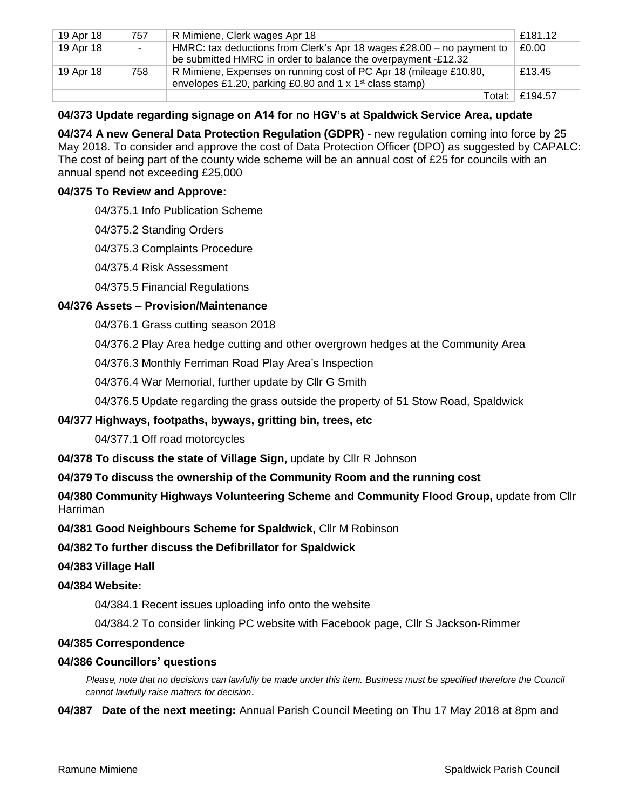| 19 Apr 18 | 757    | R Mimiene, Clerk wages Apr 18                                                                                                            | £181.12 |
|-----------|--------|------------------------------------------------------------------------------------------------------------------------------------------|---------|
| 19 Apr 18 | $\sim$ | HMRC: tax deductions from Clerk's Apr 18 wages $£28.00 - no$ payment to<br>be submitted HMRC in order to balance the overpayment -£12.32 | £0.00   |
| 19 Apr 18 | 758    | R Mimiene, Expenses on running cost of PC Apr 18 (mileage £10.80,<br>envelopes £1.20, parking £0.80 and 1 x 1 <sup>st</sup> class stamp) | £13.45  |
|           |        | Total: ⊥                                                                                                                                 | £194.57 |

## **04/373 Update regarding signage on A14 for no HGV's at Spaldwick Service Area, update**

**04/374 A new General Data Protection Regulation (GDPR) -** new regulation coming into force by 25 May 2018. To consider and approve the cost of Data Protection Officer (DPO) as suggested by CAPALC: The cost of being part of the county wide scheme will be an annual cost of £25 for councils with an annual spend not exceeding £25,000

## **04/375 To Review and Approve:**

04/375.1 Info Publication Scheme

04/375.2 Standing Orders

04/375.3 Complaints Procedure

04/375.4 Risk Assessment

04/375.5 Financial Regulations

## **04/376 Assets – Provision/Maintenance**

04/376.1 Grass cutting season 2018

04/376.2 Play Area hedge cutting and other overgrown hedges at the Community Area

04/376.3 Monthly Ferriman Road Play Area's Inspection

04/376.4 War Memorial, further update by Cllr G Smith

04/376.5 Update regarding the grass outside the property of [51 Stow Road, Spaldwick](https://maps.google.com/?q=51+Stow+Road,+Spaldwick&entry=gmail&source=g)

## **04/377 Highways, footpaths, byways, gritting bin, trees, etc**

04/377.1 Off road motorcycles

**04/378 To discuss the state of Village Sign,** update by Cllr R Johnson

## **04/379 To discuss the ownership of the Community Room and the running cost**

**04/380 Community Highways Volunteering Scheme and Community Flood Group,** update from Cllr Harriman

**04/381 Good Neighbours Scheme for Spaldwick,** Cllr M Robinson

## **04/382 To further discuss the Defibrillator for Spaldwick**

## **04/383 Village Hall**

## **04/384 Website:**

04/384.1 Recent issues uploading info onto the website

04/384.2 To consider linking PC website with Facebook page, Cllr S Jackson-Rimmer

## **04/385 Correspondence**

## **04/386 Councillors' questions**

*Please, note that no decisions can lawfully be made under this item. Business must be specified therefore the Council cannot lawfully raise matters for decision*.

**04/387 Date of the next meeting:** Annual Parish Council Meeting on Thu 17 May 2018 at 8pm and